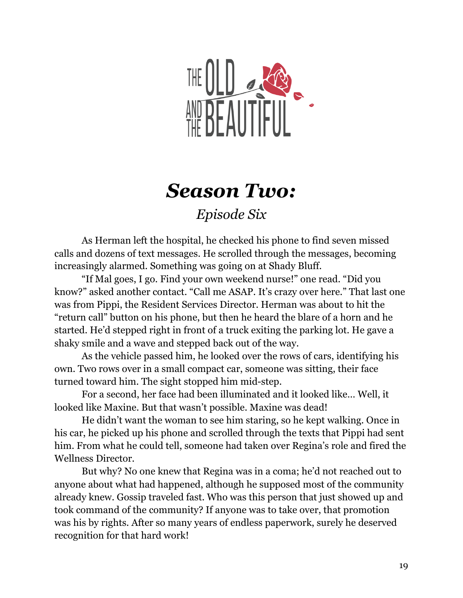

## *Season Two:*

## *Episode Six*

As Herman left the hospital, he checked his phone to find seven missed calls and dozens of text messages. He scrolled through the messages, becoming increasingly alarmed. Something was going on at Shady Bluff.

"If Mal goes, I go. Find your own weekend nurse!" one read. "Did you know?" asked another contact. "Call me ASAP. It's crazy over here." That last one was from Pippi, the Resident Services Director. Herman was about to hit the "return call" button on his phone, but then he heard the blare of a horn and he started. He'd stepped right in front of a truck exiting the parking lot. He gave a shaky smile and a wave and stepped back out of the way.

As the vehicle passed him, he looked over the rows of cars, identifying his own. Two rows over in a small compact car, someone was sitting, their face turned toward him. The sight stopped him mid-step.

For a second, her face had been illuminated and it looked like… Well, it looked like Maxine. But that wasn't possible. Maxine was dead!

He didn't want the woman to see him staring, so he kept walking. Once in his car, he picked up his phone and scrolled through the texts that Pippi had sent him. From what he could tell, someone had taken over Regina's role and fired the Wellness Director.

But why? No one knew that Regina was in a coma; he'd not reached out to anyone about what had happened, although he supposed most of the community already knew. Gossip traveled fast. Who was this person that just showed up and took command of the community? If anyone was to take over, that promotion was his by rights. After so many years of endless paperwork, surely he deserved recognition for that hard work!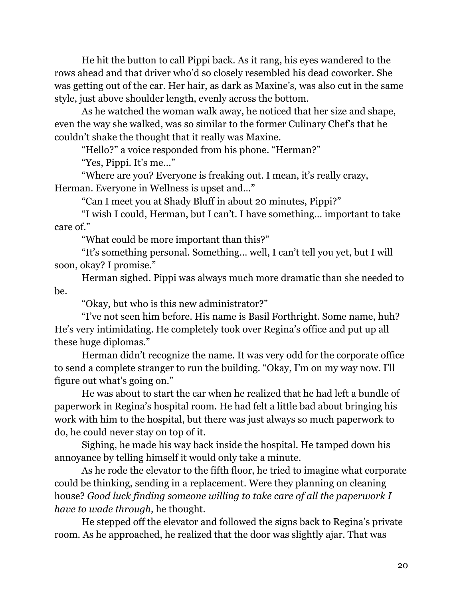He hit the button to call Pippi back. As it rang, his eyes wandered to the rows ahead and that driver who'd so closely resembled his dead coworker. She was getting out of the car. Her hair, as dark as Maxine's, was also cut in the same style, just above shoulder length, evenly across the bottom.

As he watched the woman walk away, he noticed that her size and shape, even the way she walked, was so similar to the former Culinary Chef's that he couldn't shake the thought that it really was Maxine.

"Hello?" a voice responded from his phone. "Herman?"

"Yes, Pippi. It's me…"

"Where are you? Everyone is freaking out. I mean, it's really crazy, Herman. Everyone in Wellness is upset and…"

"Can I meet you at Shady Bluff in about 20 minutes, Pippi?"

"I wish I could, Herman, but I can't. I have something… important to take care of."

"What could be more important than this?"

"It's something personal. Something… well, I can't tell you yet, but I will soon, okay? I promise."

Herman sighed. Pippi was always much more dramatic than she needed to be.

"Okay, but who is this new administrator?"

"I've not seen him before. His name is Basil Forthright. Some name, huh? He's very intimidating. He completely took over Regina's office and put up all these huge diplomas."

Herman didn't recognize the name. It was very odd for the corporate office to send a complete stranger to run the building. "Okay, I'm on my way now. I'll figure out what's going on."

He was about to start the car when he realized that he had left a bundle of paperwork in Regina's hospital room. He had felt a little bad about bringing his work with him to the hospital, but there was just always so much paperwork to do, he could never stay on top of it.

Sighing, he made his way back inside the hospital. He tamped down his annoyance by telling himself it would only take a minute.

As he rode the elevator to the fifth floor, he tried to imagine what corporate could be thinking, sending in a replacement. Were they planning on cleaning house? *Good luck finding someone willing to take care of all the paperwork I have to wade through,* he thought.

He stepped off the elevator and followed the signs back to Regina's private room. As he approached, he realized that the door was slightly ajar. That was